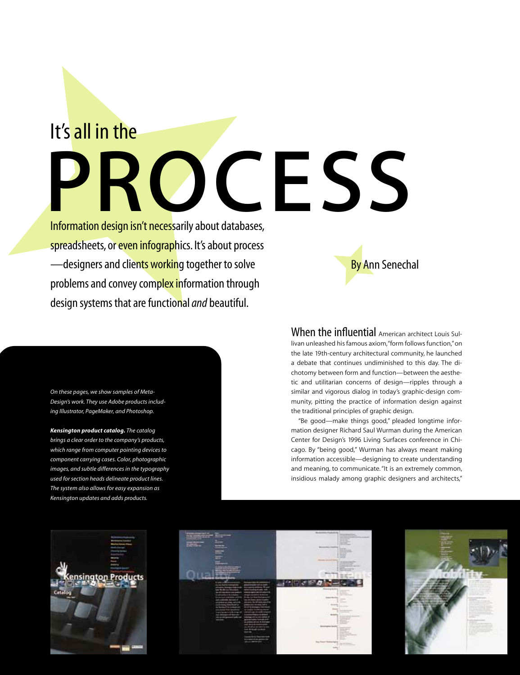# It's all in the **PICESS** Information design isn't necessarily about databases,

spreadsheets, or even infographics. It's about process — designers and clients working together to solve problems and convey complex information through design systems that are functional *and* beautiful.

*On these pages, we show samples of Meta-Design's work. They use Adobe products including Illustrator, PageMaker, and Photoshop.*

*Kensington product catalog. The catalog brings a clear order to the company's products, which range from computer pointing devices to component carrying cases. Color, photographic images, and subtle differences in the typography used for section heads delineate product lines. The system also allows for easy expansion as Kensington updates and adds products.*

When the influential American architect Louis Sullivan unleashed his famous axiom, "form follows function," on the late 19th-century architectural community, he launched a debate that continues undiminished to this day. The dichotomy between form and function—between the aesthetic and utilitarian concerns of design—ripples through a similar and vigorous dialog in today's graphic-design community, pitting the practice of information design against the traditional principles of graphic design.

By Ann Senechal

"Be good—make things good," pleaded longtime information designer Richard Saul Wurman during the American Center for Design's 1996 Living Surfaces conference in Chicago. By "being good," Wurman has always meant making information accessible—designing to create understanding and meaning, to communicate. "It is an extremely common, insidious malady among graphic designers and architects,"





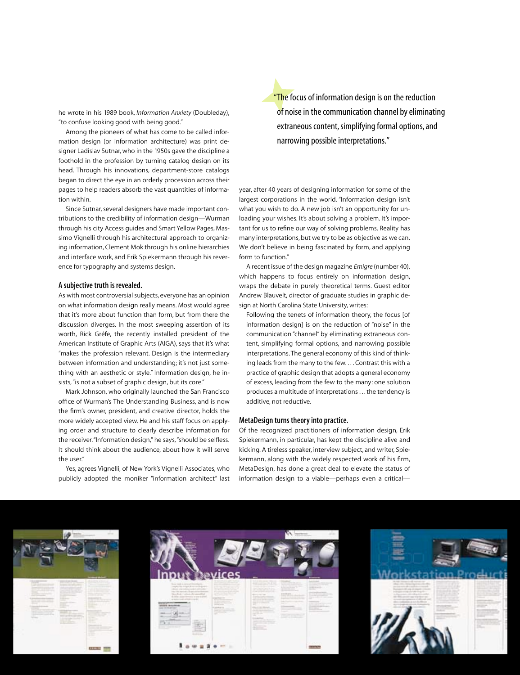he wrote in his 1989 book, *Information Anxiety* (Doubleday), "to confuse looking good with being good."

Among the pioneers of what has come to be called information design (or information architecture) was print designer Ladislav Sutnar, who in the 1950s gave the discipline a foothold in the profession by turning catalog design on its head. Through his innovations, department-store catalogs began to direct the eye in an orderly procession across their pages to help readers absorb the vast quantities of information within.

Since Sutnar, several designers have made important contributions to the credibility of information design—Wurman through his city Access guides and Smart Yellow Pages, Massimo Vignelli through his architectural approach to organizing information, Clement Mok through his online hierarchies and interface work, and Erik Spiekermann through his reverence for typography and systems design.

### A subjective truth is revealed.

As with most controversial subjects, everyone has an opinion on what information design really means. Most would agree that it's more about function than form, but from there the discussion diverges. In the most sweeping assertion of its worth, Rick Gréfe, the recently installed president of the American Institute of Graphic Arts (AIGA), says that it's what "makes the profession relevant. Design is the intermediary between information and understanding; it's not just something with an aesthetic or style." Information design, he insists, "is not a subset of graphic design, but its core."

Mark Johnson, who originally launched the San Francisco office of Wurman's The Understanding Business, and is now the firm's owner, president, and creative director, holds the more widely accepted view. He and his staff focus on applying order and structure to clearly describe information for the receiver. "Information design," he says, "should be selfless. It should think about the audience, about how it will serve the user."

Yes, agrees Vignelli, of New York's Vignelli Associates, who publicly adopted the moniker "information architect" last **"The focus of information design is on the reduction** of noise in the communication channel by eliminating extraneous content, simplifying formal options, and narrowing possible interpretations."

year, after 40 years of designing information for some of the largest corporations in the world. "Information design isn't what you wish to do. A new job isn't an opportunity for unloading your wishes. It's about solving a problem. It's important for us to refine our way of solving problems. Reality has many interpretations, but we try to be as objective as we can. We don't believe in being fascinated by form, and applying form to function."

A recent issue of the design magazine *Emigre* (number 40), which happens to focus entirely on information design, wraps the debate in purely theoretical terms. Guest editor Andrew Blauvelt, director of graduate studies in graphic design at North Carolina State University, writes:

Following the tenets of information theory, the focus [of information design] is on the reduction of "noise" in the communication "channel" by eliminating extraneous content, simplifying formal options, and narrowing possible interpretations. The general economy of this kind of thinking leads from the many to the few.... Contrast this with a practice of graphic design that adopts a general economy of excess, leading from the few to the many: one solution produces a multitude of interpretations . . . the tendency is additive, not reductive.

### MetaDesign turns theory into practice.

Of the recognized practitioners of information design, Erik Spiekermann, in particular, has kept the discipline alive and kicking. A tireless speaker, interview subject, and writer, Spiekermann, along with the widely respected work of his firm, MetaDesign, has done a great deal to elevate the status of information design to a viable—perhaps even a critical—





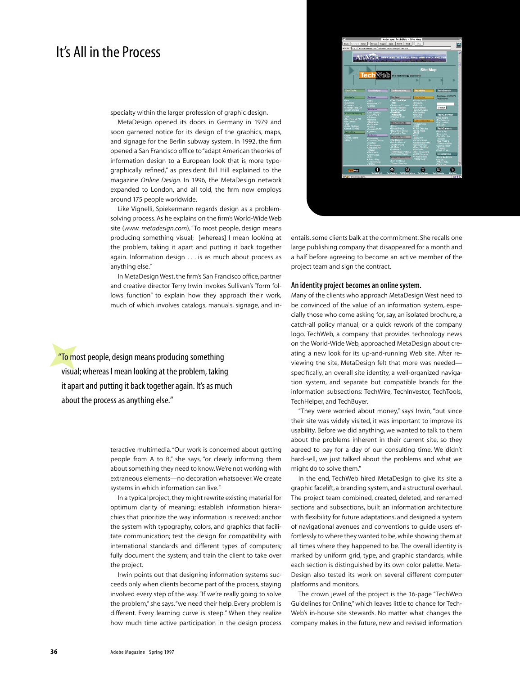### It's All in the Process

specialty within the larger profession of graphic design.

MetaDesign opened its doors in Germany in 1979 and soon garnered notice for its design of the graphics, maps, and signage for the Berlin subway system. In 1992, the firm opened a San Francisco office to "adapt American theories of information design to a European look that is more typographically refined," as president Bill Hill explained to the magazine *Online Design*. In 1996, the MetaDesign network expanded to London, and all told, the firm now employs around 175 people worldwide.

Like Vignelli, Spiekermann regards design as a problemsolving process. As he explains on the firm's World-Wide Web site (*www. metadesign.com*), "To most people, design means producing something visual; [whereas] I mean looking at the problem, taking it apart and putting it back together again. Information design . . . is as much about process as anything else."

In MetaDesign West, the firm's San Francisco office, partner and creative director Terry Irwin invokes Sullivan's "form follows function" to explain how they approach their work, much of which involves catalogs, manuals, signage, and in-

"To most people, design means producing something visual; whereas I mean looking at the problem, taking it apart and putting it back together again. It's as much about the process as anything else."

> teractive multimedia. "Our work is concerned about getting people from A to B," she says, "or clearly informing them about something they need to know. We're not working with extraneous elements—no decoration whatsoever. We create systems in which information can live."

> In a typical project, they might rewrite existing material for optimum clarity of meaning; establish information hierarchies that prioritize the way information is received; anchor the system with typography, colors, and graphics that facilitate communication; test the design for compatibility with international standards and different types of computers; fully document the system; and train the client to take over the project.

> Irwin points out that designing information systems succeeds only when clients become part of the process, staying involved every step of the way. "If we're really going to solve the problem," she says, "we need their help. Every problem is different. Every learning curve is steep." When they realize how much time active participation in the design process



entails, some clients balk at the commitment. She recalls one large publishing company that disappeared for a month and a half before agreeing to become an active member of the project team and sign the contract.

### An identity project becomes an online system.

Many of the clients who approach MetaDesign West need to be convinced of the value of an information system, especially those who come asking for, say, an isolated brochure, a catch-all policy manual, or a quick rework of the company logo. TechWeb, a company that provides technology news on the World-Wide Web, approached MetaDesign about creating a new look for its up-and-running Web site. After reviewing the site, MetaDesign felt that more was needed specifically, an overall site identity, a well-organized navigation system, and separate but compatible brands for the information subsections: TechWire, TechInvestor, TechTools, TechHelper, and TechBuyer.

"They were worried about money," says Irwin, "but since their site was widely visited, it was important to improve its usability. Before we did anything, we wanted to talk to them about the problems inherent in their current site, so they agreed to pay for a day of our consulting time. We didn't hard-sell, we just talked about the problems and what we might do to solve them."

In the end, TechWeb hired MetaDesign to give its site a graphic facelift, a branding system, and a structural overhaul. The project team combined, created, deleted, and renamed sections and subsections, built an information architecture with flexibility for future adaptations, and designed a system of navigational avenues and conventions to guide users effortlessly to where they wanted to be, while showing them at all times where they happened to be. The overall identity is marked by uniform grid, type, and graphic standards, while each section is distinguished by its own color palette. Meta-Design also tested its work on several different computer platforms and monitors.

The crown jewel of the project is the 16-page "TechWeb Guidelines for Online," which leaves little to chance for Tech-Web's in-house site stewards. No matter what changes the company makes in the future, new and revised information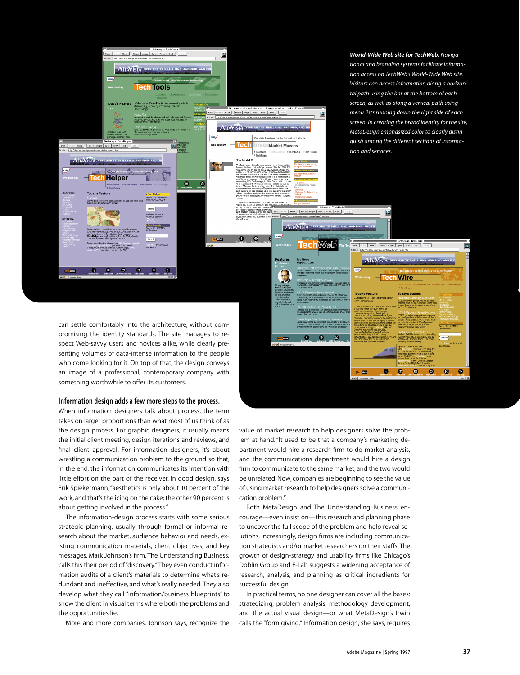

*World-Wide Web site for TechWeb. Navigational and branding systems facilitate information access on TechWeb's World-Wide Web site. Visitors can access information along a horizontal path using the bar at the bottom of each screen, as well as along a vertical path using menu lists running down the right side of each screen. In creating the brand identity for the site, MetaDesign emphasized color to clearly distinguish among the different sections of information and services.*

 $\overline{\mathbf{N}}$ 

Home | Rebud | Hugos | Open | Print | Find |

**Tech Wire** 

lav's Sto

**ALIAVISIA** 

 $\overline{\phantom{a}}$  Web

 $\bullet$  $\overline{\bullet}$  $\bullet$  $\circ$  $\circledcirc$  $\bullet$ 

崗

can settle comfortably into the architecture, without compromising the identity standards. The site manages to respect Web-savvy users and novices alike, while clearly presenting volumes of data-intense information to the people who come looking for it. On top of that, the design conveys an image of a professional, contemporary company with something worthwhile to offer its customers.

### Information design adds a few more steps to the process.

When information designers talk about process, the term takes on larger proportions than what most of us think of as the design process. For graphic designers, it usually means the initial client meeting, design iterations and reviews, and final client approval. For information designers, it's about wrestling a communication problem to the ground so that, in the end, the information communicates its intention with little effort on the part of the receiver. In good design, says Erik Spiekermann, "aesthetics is only about 10 percent of the work, and that's the icing on the cake; the other 90 percent is about getting involved in the process."

The information-design process starts with some serious strategic planning, usually through formal or informal research about the market, audience behavior and needs, existing communication materials, client objectives, and key messages. Mark Johnson's firm, The Understanding Business, calls this their period of "discovery." They even conduct information audits of a client's materials to determine what's redundant and ineffective, and what's really needed. They also develop what they call "information/business blueprints" to show the client in visual terms where both the problems and the opportunities lie.

More and more companies, Johnson says, recognize the

value of market research to help designers solve the problem at hand. "It used to be that a company's marketing department would hire a research firm to do market analysis, and the communications department would hire a design firm to communicate to the same market, and the two would be unrelated. Now, companies are beginning to see the value of using market research to help designers solve a communication problem."

 $\bullet$  $\overline{\bullet}$  $\boldsymbol{w}$ 

Both MetaDesign and The Understanding Business encourage—even insist on—this research and planning phase to uncover the full scope of the problem and help reveal solutions. Increasingly, design firms are including communication strategists and/or market researchers on their staffs. The growth of design-strategy and usability firms like Chicago's Doblin Group and E-Lab suggests a widening acceptance of research, analysis, and planning as critical ingredients for successful design.

In practical terms, no one designer can cover all the bases: strategizing, problem analysis, methodology development, and the actual visual design—or what MetaDesign's Irwin calls the "form giving." Information design, she says, requires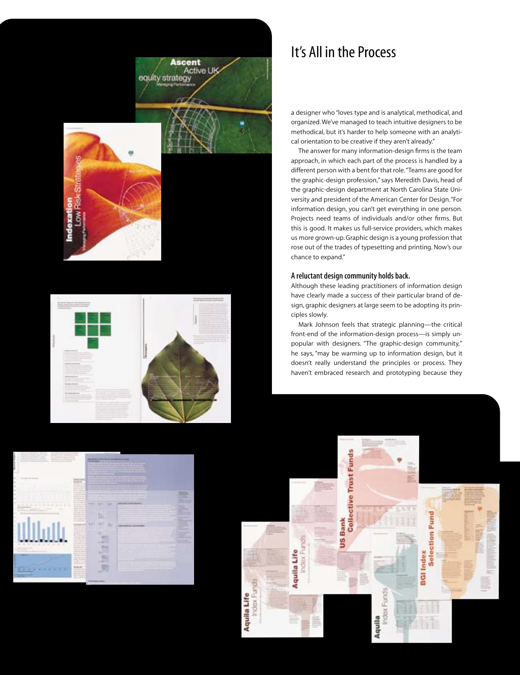# **Ascent** Active UK equity strategy



## It's All in the Process

a designer who "loves type and is analytical, methodical, and organized. We've managed to teach intuitive designers to be methodical, but it's harder to help someone with an analytical orientation to be creative if they aren't already."

The answer for many information-design firms is the team approach, in which each part of the process is handled by a different person with a bent for that role. "Teams are good for the graphic-design profession," says Meredith Davis, head of the graphic-design department at North Carolina State University and president of the American Center for Design. "For information design, you can't get everything in one person. Projects need teams of individuals and/or other firms. But this is good. It makes us full-service providers, which makes us more grown-up. Graphic design is a young profession that rose out of the trades of typesetting and printing. Now's our chance to expand."

### A reluctant design community holds back.

Although these leading practitioners of information design have clearly made a success of their particular brand of design, graphic designers at large seem to be adopting its principles slowly.

Mark Johnson feels that strategic planning—the critical front-end of the information-design process—is simply unpopular with designers. "The graphic-design community," he says, "may be warming up to information design, but it doesn't really understand the principles or process. They haven't embraced research and prototyping because they



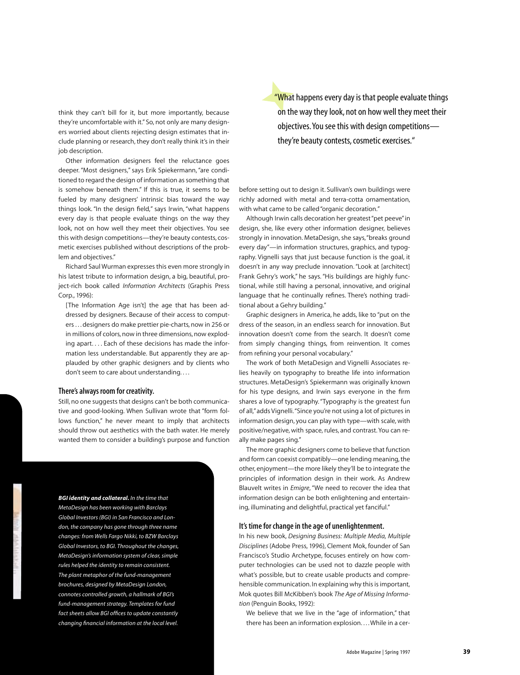think they can't bill for it, but more importantly, because they're uncomfortable with it." So, not only are many designers worried about clients rejecting design estimates that include planning or research, they don't really think it's in their job description.

Other information designers feel the reluctance goes deeper. "Most designers," says Erik Spiekermann, "are conditioned to regard the design of information as something that is somehow beneath them." If this is true, it seems to be fueled by many designers' intrinsic bias toward the way things look. "In the design field," says Irwin, "what happens every day is that people evaluate things on the way they look, not on how well they meet their objectives. You see this with design competitions—they're beauty contests, cosmetic exercises published without descriptions of the problem and objectives."

Richard Saul Wurman expresses this even more strongly in his latest tribute to information design, a big, beautiful, project-rich book called *Information Architects* (Graphis Press Corp., 1996):

[The Information Age isn't] the age that has been addressed by designers. Because of their access to computers . . . designers do make prettier pie-charts, now in 256 or in millions of colors, now in three dimensions, now exploding apart. . . . Each of these decisions has made the information less understandable. But apparently they are applauded by other graphic designers and by clients who don't seem to care about understanding. . . .

### There's always room for creativity.

Still, no one suggests that designs can't be both communicative and good-looking. When Sullivan wrote that "form follows function," he never meant to imply that architects should throw out aesthetics with the bath water. He merely wanted them to consider a building's purpose and function

*BGI identity and collateral. In the time that MetaDesign has been working with Barclays Global Investors (BGI) in San Francisco and London, the company has gone through three name changes: from Wells Fargo Nikki, to BZW Barclays Global Investors, to BGI. Throughout the changes, MetaDesign's information system of clear, simple rules helped the identity to remain consistent. The plant metaphor of the fund-management brochures, designed by MetaDesign London, connotes controlled growth, a hallmark of BGI's fund-management strategy. Templates for fund fact sheets allow BGI offices to update constantly changing financial information at the local level.*

"What happens every day is that people evaluate things on the way they look, not on how well they meet their objectives. You see this with design competitions they're beauty contests, cosmetic exercises."

before setting out to design it. Sullivan's own buildings were richly adorned with metal and terra-cotta ornamentation, with what came to be called "organic decoration."

Although Irwin calls decoration her greatest "pet peeve" in design, she, like every other information designer, believes strongly in innovation. MetaDesign, she says, "breaks ground every day"—in information structures, graphics, and typography. Vignelli says that just because function is the goal, it doesn't in any way preclude innovation. "Look at [architect] Frank Gehry's work," he says. "His buildings are highly functional, while still having a personal, innovative, and original language that he continually refines. There's nothing traditional about a Gehry building."

Graphic designers in America, he adds, like to "put on the dress of the season, in an endless search for innovation. But innovation doesn't come from the search. It doesn't come from simply changing things, from reinvention. It comes from refining your personal vocabulary."

The work of both MetaDesign and Vignelli Associates relies heavily on typography to breathe life into information structures. MetaDesign's Spiekermann was originally known for his type designs, and Irwin says everyone in the firm shares a love of typography. "Typography is the greatest fun of all," adds Vignelli. "Since you're not using a lot of pictures in information design, you can play with type—with scale, with positive/negative, with space, rules, and contrast. You can really make pages sing."

The more graphic designers come to believe that function and form can coexist compatibly—one lending meaning, the other, enjoyment—the more likely they'll be to integrate the principles of information design in their work. As Andrew Blauvelt writes in *Emigre*, "We need to recover the idea that information design can be both enlightening and entertaining, illuminating and delightful, practical yet fanciful."

#### It's time for change in the age of unenlightenment.

In his new book, *Designing Business: Multiple Media, Multiple Disciplines* (Adobe Press, 1996), Clement Mok, founder of San Francisco's Studio Archetype, focuses entirely on how computer technologies can be used not to dazzle people with what's possible, but to create usable products and comprehensible communication. In explaining why this is important, Mok quotes Bill McKibben's book *The Age of Missing Information* (Penguin Books, 1992):

We believe that we live in the "age of information," that there has been an information explosion.... While in a cer-